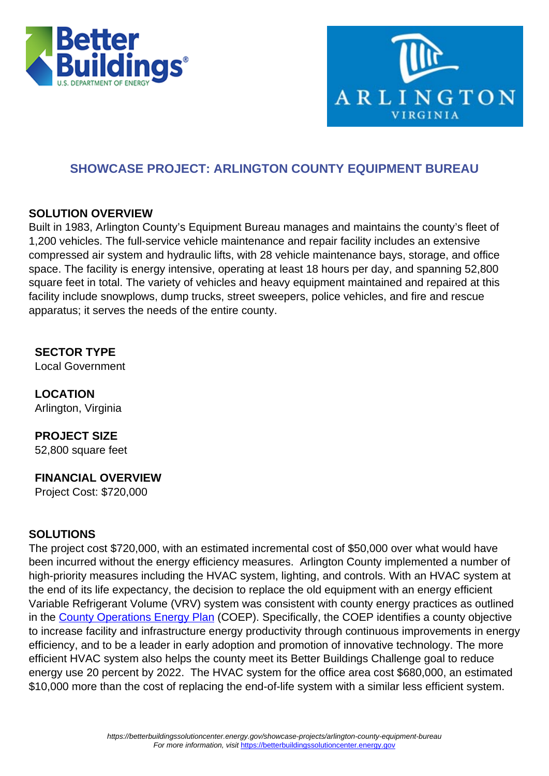



## **SHOWCASE PROJECT: ARLINGTON COUNTY EQUIPMENT BUREAU**

### **SOLUTION OVERVIEW**

Built in 1983, Arlington County's Equipment Bureau manages and maintains the county's fleet of 1,200 vehicles. The full-service vehicle maintenance and repair facility includes an extensive compressed air system and hydraulic lifts, with 28 vehicle maintenance bays, storage, and office space. The facility is energy intensive, operating at least 18 hours per day, and spanning 52,800 square feet in total. The variety of vehicles and heavy equipment maintained and repaired at this facility include snowplows, dump trucks, street sweepers, police vehicles, and fire and rescue apparatus; it serves the needs of the entire county.

# **SECTOR TYPE**

Local Government

**LOCATION** Arlington, Virginia

**PROJECT SIZE** 52,800 square feet

### **FINANCIAL OVERVIEW**

Project Cost: \$720,000

## **SOLUTIONS**

The project cost \$720,000, with an estimated incremental cost of \$50,000 over what would have been incurred without the energy efficiency measures. Arlington County implemented a number of high-priority measures including the HVAC system, lighting, and controls. With an HVAC system at the end of its life expectancy, the decision to replace the old equipment with an energy efficient Variable Refrigerant Volume (VRV) system was consistent with county energy practices as outlined in the [County Operations Energy Plan](https://arlingtonva.s3.dualstack.us-east-1.amazonaws.com/wp-content/uploads/sites/13/2014/06/Arlington-County-Operations-Energy-Plan-revised-2.pdf) (COEP). Specifically, the COEP identifies a county objective to increase facility and infrastructure energy productivity through continuous improvements in energy efficiency, and to be a leader in early adoption and promotion of innovative technology. The more efficient HVAC system also helps the county meet its Better Buildings Challenge goal to reduce energy use 20 percent by 2022. The HVAC system for the office area cost \$680,000, an estimated \$10,000 more than the cost of replacing the end-of-life system with a similar less efficient system.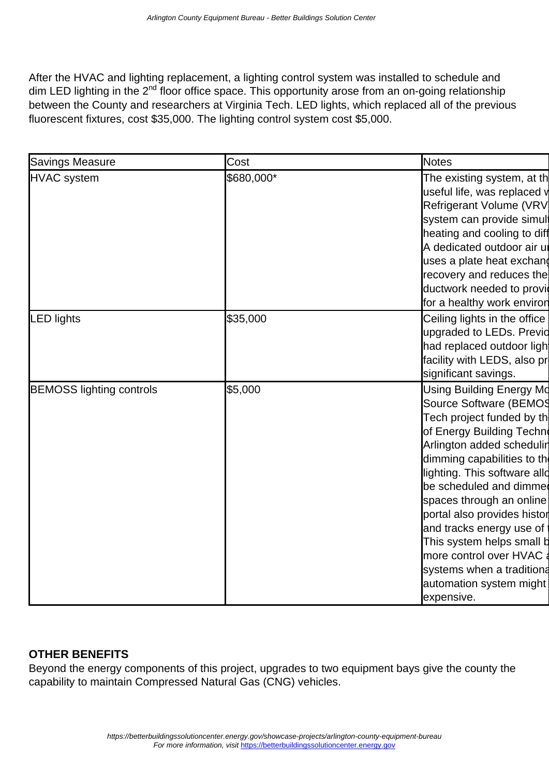After the HVAC and lighting replacement, a lighting control system was installed to schedule and dim LED lighting in the 2<sup>nd</sup> floor office space. This opportunity arose from an on-going relationship between the County and researchers at Virginia Tech. LED lights, which replaced all of the previous fluorescent fixtures, cost \$35,000. The lighting control system cost \$5,000.

| Savings Measure                 | Cost       | <b>Notes</b>                    |
|---------------------------------|------------|---------------------------------|
| HVAC system                     | \$680,000* | The existing system, at th      |
|                                 |            | useful life, was replaced v     |
|                                 |            | Refrigerant Volume (VRV         |
|                                 |            | system can provide simult       |
|                                 |            | heating and cooling to diff     |
|                                 |            | A dedicated outdoor air ur      |
|                                 |            | uses a plate heat exchang       |
|                                 |            | recovery and reduces the        |
|                                 |            | ductwork needed to provid       |
|                                 |            | for a healthy work environ      |
| LED lights                      | \$35,000   | Ceiling lights in the office    |
|                                 |            | upgraded to LEDs. Previo        |
|                                 |            | had replaced outdoor light      |
|                                 |            | facility with LEDS, also pr     |
|                                 |            | significant savings.            |
| <b>BEMOSS lighting controls</b> | \$5,000    | <b>Using Building Energy Mo</b> |
|                                 |            | <b>Source Software (BEMOS</b>   |
|                                 |            | Tech project funded by the      |
|                                 |            | of Energy Building Techn        |
|                                 |            | Arlington added schedulin       |
|                                 |            | dimming capabilities to the     |
|                                 |            | lighting. This software allo    |
|                                 |            | be scheduled and dimmed         |
|                                 |            | spaces through an online        |
|                                 |            | portal also provides histor     |
|                                 |            | and tracks energy use of        |
|                                 |            | This system helps small b       |
|                                 |            | more control over HVAC a        |
|                                 |            | systems when a traditiona       |
|                                 |            | automation system might         |
|                                 |            | expensive.                      |

### **OTHER BENEFITS**

Beyond the energy components of this project, upgrades to two equipment bays give the county the capability to maintain Compressed Natural Gas (CNG) vehicles.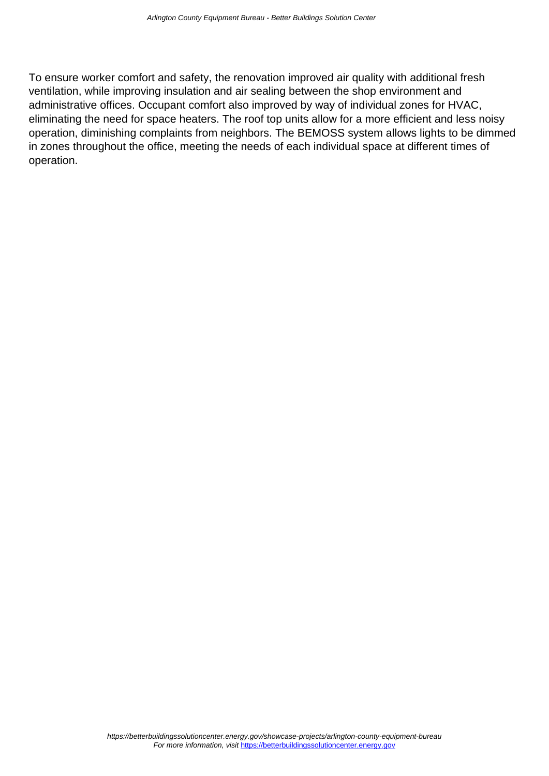To ensure worker comfort and safety, the renovation improved air quality with additional fresh ventilation, while improving insulation and air sealing between the shop environment and administrative offices. Occupant comfort also improved by way of individual zones for HVAC, eliminating the need for space heaters. The roof top units allow for a more efficient and less noisy operation, diminishing complaints from neighbors. The BEMOSS system allows lights to be dimmed in zones throughout the office, meeting the needs of each individual space at different times of operation.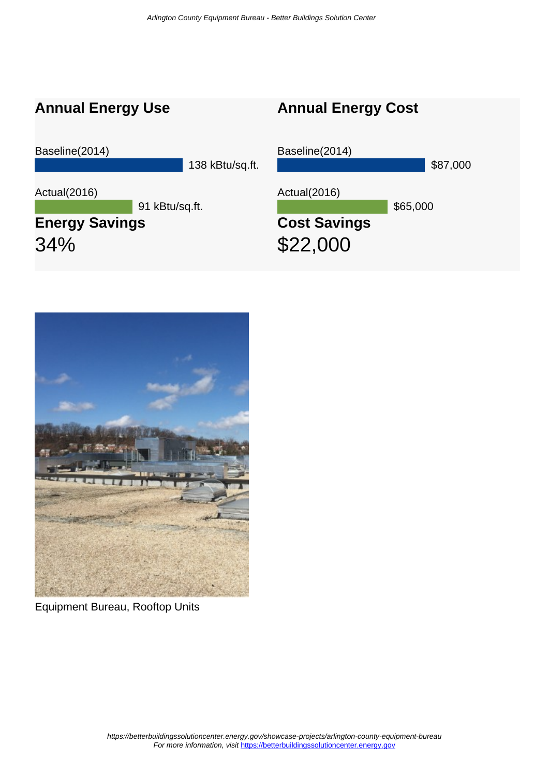# **Annual Energy Use**

# **Annual Energy Cost**





Equipment Bureau, Rooftop Units